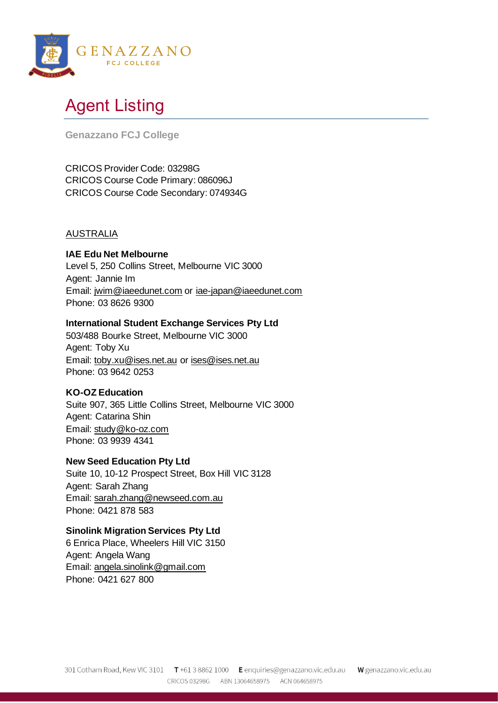

# Agent Listing

**Genazzano FCJ College** 

CRICOS Provider Code: 03298G CRICOS Course Code Primary: 086096J CRICOS Course Code Secondary: 074934G

## AUSTRALIA

# **IAE Edu Net Melbourne**

Level 5, 250 Collins Street, Melbourne VIC 3000 Agent: Jannie Im Email: [jwim@iaeedunet.com](mailto:jwim@iaeedunet.com) or [iae-japan@iaeedunet.com](mailto:iae-japan@iaeedunet.com) Phone: 03 8626 9300

## **International Student Exchange Services Pty Ltd**

503/488 Bourke Street, Melbourne VIC 3000 Agent: Toby Xu Email: [toby.xu@ises.net.au](mailto:toby.xu@ises.net.au) or [ises@ises.net.au](mailto:ises@ises.net.au) Phone: 03 9642 0253

# **KO-OZ Education**

Suite 907, 365 Little Collins Street, Melbourne VIC 3000 Agent: Catarina Shin Email: [study@ko-oz.com](mailto:study@ko-oz.com) Phone: 03 9939 4341

# **New Seed Education Pty Ltd**

Suite 10, 10-12 Prospect Street, Box Hill VIC 3128 Agent: Sarah Zhang Email: [sarah.zhang@newseed.com.au](mailto:sarah.zhang@newseed.com.au)  Phone: 0421 878 583

#### **Sinolink Migration Services Pty Ltd**

6 Enrica Place, Wheelers Hill VIC 3150 Agent: Angela Wang Email: [angela.sinolink@gmail.com](mailto:angela.sinolink@gmail.com) Phone: 0421 627 800